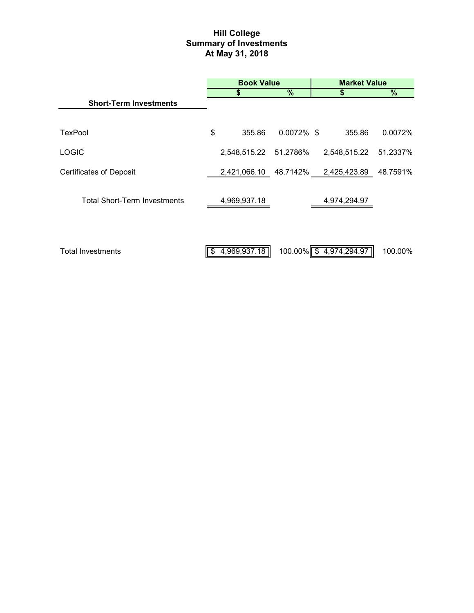# **Hill College Summary of Investments At May 31, 2018**

|                                     | <b>Book Value</b> |              |               | <b>Market Value</b>    |          |  |
|-------------------------------------|-------------------|--------------|---------------|------------------------|----------|--|
|                                     |                   | \$           | %             | \$                     | %        |  |
| <b>Short-Term Investments</b>       |                   |              |               |                        |          |  |
|                                     |                   |              |               |                        |          |  |
| <b>TexPool</b>                      | \$                | 355.86       | $0.0072\%$ \$ | 355.86                 | 0.0072%  |  |
| <b>LOGIC</b>                        |                   | 2,548,515.22 | 51.2786%      | 2,548,515.22           | 51.2337% |  |
| <b>Certificates of Deposit</b>      |                   | 2,421,066.10 | 48.7142%      | 2,425,423.89           | 48.7591% |  |
| <b>Total Short-Term Investments</b> |                   | 4,969,937.18 |               | 4,974,294.97           |          |  |
| <b>Total Investments</b>            |                   | 4,969,937.18 |               | 100.00% \$4,974,294.97 | 100.00%  |  |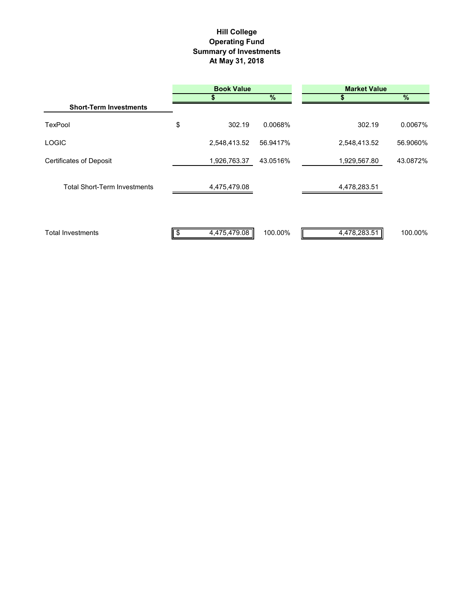# **Hill College Operating Fund Summary of Investments At May 31, 2018**

|                                     | <b>Book Value</b> |          | <b>Market Value</b> |          |
|-------------------------------------|-------------------|----------|---------------------|----------|
|                                     |                   | %        | S                   | $\%$     |
| <b>Short-Term Investments</b>       |                   |          |                     |          |
| <b>TexPool</b>                      | \$<br>302.19      | 0.0068%  | 302.19              | 0.0067%  |
| <b>LOGIC</b>                        | 2,548,413.52      | 56.9417% | 2,548,413.52        | 56.9060% |
| <b>Certificates of Deposit</b>      | 1,926,763.37      | 43.0516% | 1,929,567.80        | 43.0872% |
| <b>Total Short-Term Investments</b> | 4,475,479.08      |          | 4,478,283.51        |          |
| <b>Total Investments</b>            | 4,475,479.08      | 100.00%  | 4,478,283.51        | 100.00%  |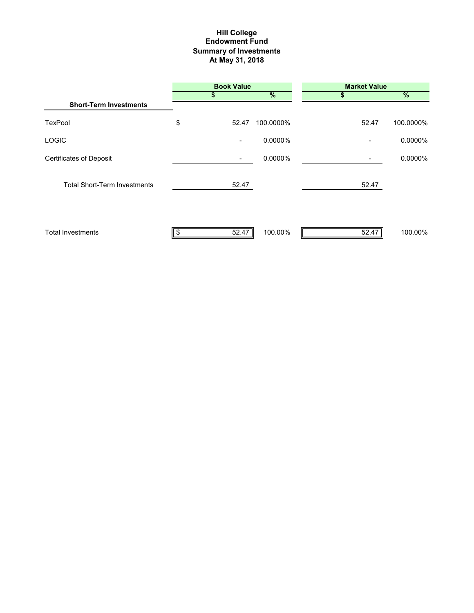# **Hill College Endowment Fund Summary of Investments At May 31, 2018**

|                                     | <b>Book Value</b>        |               | <b>Market Value</b> |                 |
|-------------------------------------|--------------------------|---------------|---------------------|-----------------|
|                                     |                          | $\frac{9}{6}$ |                     | $\overline{\%}$ |
| <b>Short-Term Investments</b>       |                          |               |                     |                 |
| TexPool                             | \$<br>52.47              | 100.0000%     | 52.47               | 100.0000%       |
| <b>LOGIC</b>                        | $\overline{\phantom{a}}$ | 0.0000%       |                     | 0.0000%         |
| <b>Certificates of Deposit</b>      |                          | 0.0000%       |                     | 0.0000%         |
| <b>Total Short-Term Investments</b> | 52.47                    |               | 52.47               |                 |
| <b>Total Investments</b>            | 52.47                    | 100.00%       | 52.47               | 100.00%         |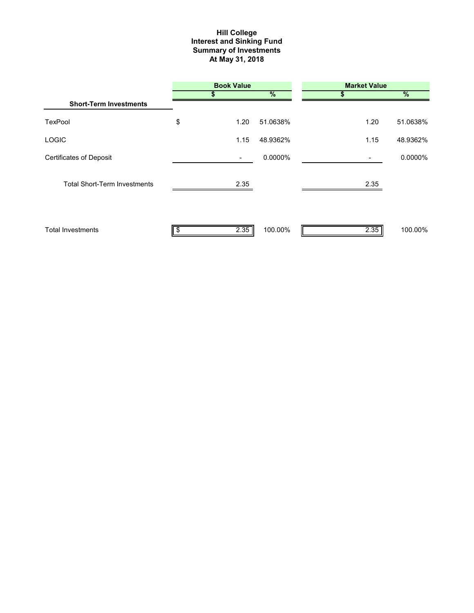#### **Interest and Sinking Fund Summary of Investments At May 31, 2018 Hill College**

|                                     | <b>Book Value</b> |               | <b>Market Value</b> |          |
|-------------------------------------|-------------------|---------------|---------------------|----------|
|                                     |                   | $\frac{9}{6}$ |                     | $\%$     |
| <b>Short-Term Investments</b>       |                   |               |                     |          |
| TexPool                             | \$<br>1.20        | 51.0638%      | 1.20                | 51.0638% |
| <b>LOGIC</b>                        | 1.15              | 48.9362%      | 1.15                | 48.9362% |
| <b>Certificates of Deposit</b>      | $\blacksquare$    | 0.0000%       |                     | 0.0000%  |
| <b>Total Short-Term Investments</b> | 2.35              |               | 2.35                |          |
| <b>Total Investments</b>            | 2.35              | 100.00%       | 2.35                | 100.00%  |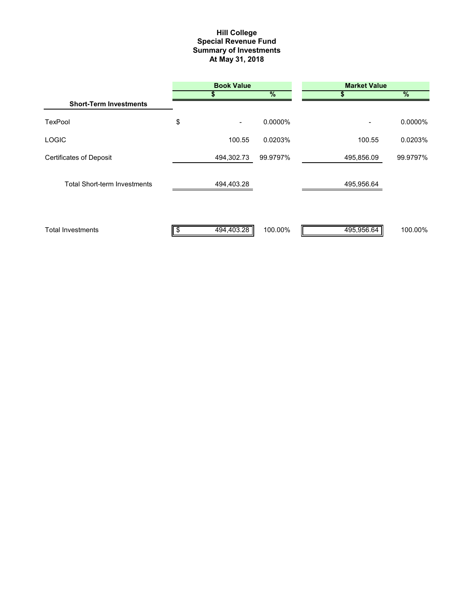#### **Summary of Investments At May 31, 2018 Special Revenue Fund Hill College**

|                                     | <b>Book Value</b> |               | <b>Market Value</b> |                 |  |
|-------------------------------------|-------------------|---------------|---------------------|-----------------|--|
|                                     |                   | $\frac{9}{6}$ | 55                  | $\overline{\%}$ |  |
| <b>Short-Term Investments</b>       |                   |               |                     |                 |  |
| <b>TexPool</b>                      | \$<br>۰           | 0.0000%       |                     | 0.0000%         |  |
| <b>LOGIC</b>                        | 100.55            | 0.0203%       | 100.55              | 0.0203%         |  |
| <b>Certificates of Deposit</b>      | 494,302.73        | 99.9797%      | 495,856.09          | 99.9797%        |  |
| <b>Total Short-term Investments</b> | 494,403.28        |               | 495,956.64          |                 |  |
| <b>Total Investments</b>            | 494,403.28        | 100.00%       | 495,956.64          | 100.00%         |  |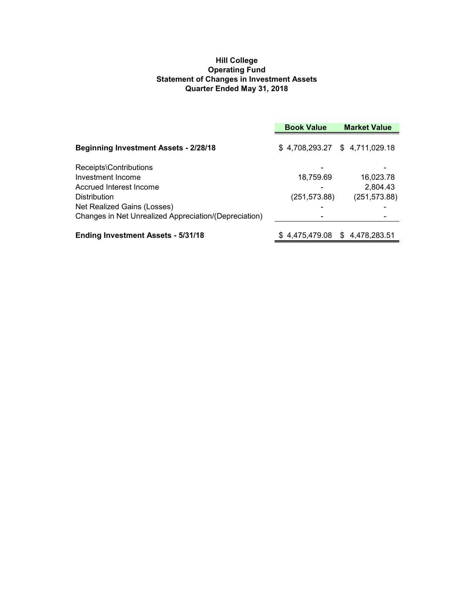## **Hill College Operating Fund Statement of Changes in Investment Assets Quarter Ended May 31, 2018**

|                                                       | <b>Book Value</b> | <b>Market Value</b>             |
|-------------------------------------------------------|-------------------|---------------------------------|
| <b>Beginning Investment Assets - 2/28/18</b>          |                   | $$4,708,293.27$ $$4,711,029.18$ |
| Receipts\Contributions                                |                   |                                 |
| Investment Income                                     | 18,759.69         | 16,023.78                       |
| Accrued Interest Income                               |                   | 2,804.43                        |
| <b>Distribution</b>                                   | (251, 573.88)     | (251, 573.88)                   |
| Net Realized Gains (Losses)                           |                   |                                 |
| Changes in Net Unrealized Appreciation/(Depreciation) |                   |                                 |
| <b>Ending Investment Assets - 5/31/18</b>             | \$4,475,479.08    | 4,478,283.51<br>S               |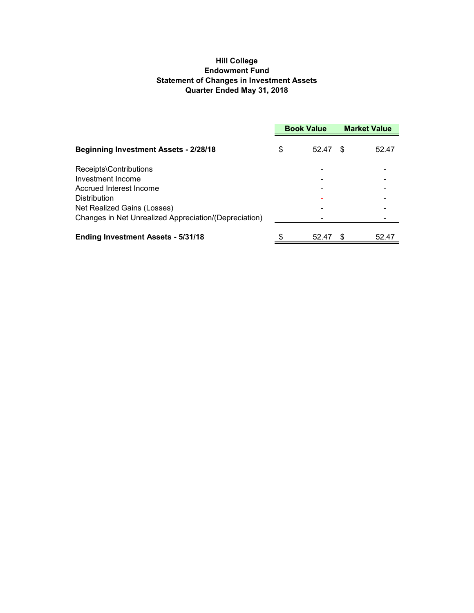# **Hill College Endowment Fund Statement of Changes in Investment Assets Quarter Ended May 31, 2018**

|                                                       | <b>Book Value</b> |       | <b>Market Value</b> |       |
|-------------------------------------------------------|-------------------|-------|---------------------|-------|
| <b>Beginning Investment Assets - 2/28/18</b>          | \$                | 52.47 | -S                  | 52.47 |
| Receipts\Contributions                                |                   |       |                     |       |
| Investment Income                                     |                   |       |                     |       |
| Accrued Interest Income                               |                   |       |                     |       |
| <b>Distribution</b>                                   |                   |       |                     |       |
| Net Realized Gains (Losses)                           |                   |       |                     |       |
| Changes in Net Unrealized Appreciation/(Depreciation) |                   |       |                     |       |
| <b>Ending Investment Assets - 5/31/18</b>             | \$                | 52.47 |                     | 52.47 |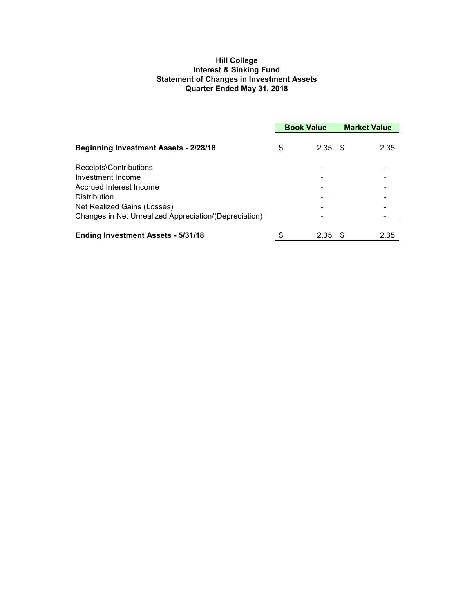# **Hill College Interest & Sinking Fund Statement of Changes in Investment Assets Quarter Ended May 31, 2018**

|                                                       | <b>Book Value</b> |           | <b>Market Value</b> |      |
|-------------------------------------------------------|-------------------|-----------|---------------------|------|
| <b>Beginning Investment Assets - 2/28/18</b>          | \$                | $2.35$ \$ |                     | 2.35 |
| Receipts\Contributions                                |                   |           |                     |      |
| Investment Income                                     |                   |           |                     |      |
| Accrued Interest Income                               |                   |           |                     |      |
| <b>Distribution</b>                                   |                   |           |                     |      |
| Net Realized Gains (Losses)                           |                   |           |                     |      |
| Changes in Net Unrealized Appreciation/(Depreciation) |                   |           |                     |      |
| <b>Ending Investment Assets - 5/31/18</b>             |                   | 2.35      | -S                  | 2.35 |